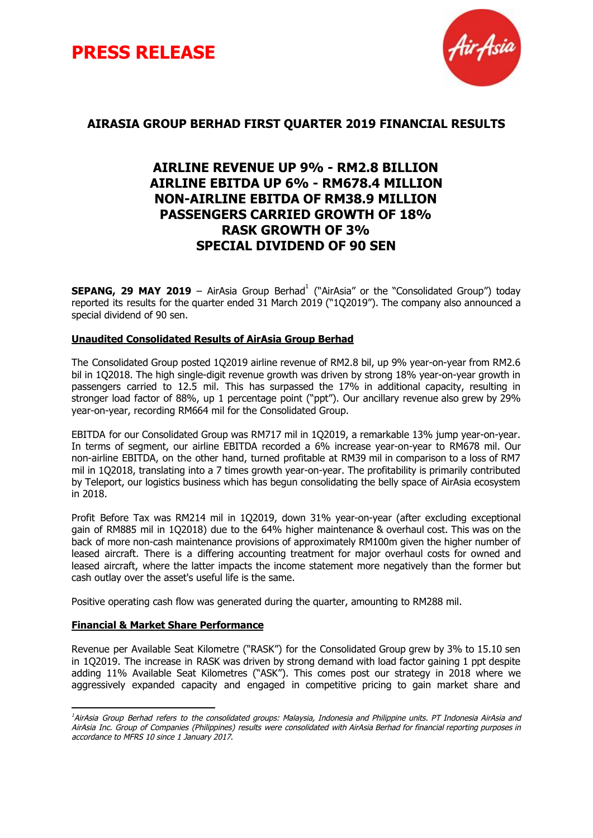



# **AIRASIA GROUP BERHAD FIRST QUARTER 2019 FINANCIAL RESULTS**

# **AIRLINE REVENUE UP 9% - RM2.8 BILLION AIRLINE EBITDA UP 6% - RM678.4 MILLION NON-AIRLINE EBITDA OF RM38.9 MILLION PASSENGERS CARRIED GROWTH OF 18% RASK GROWTH OF 3% SPECIAL DIVIDEND OF 90 SEN**

**SEPANG, 29 MAY 2019** – AirAsia Group Berhad<sup>1</sup> ("AirAsia" or the "Consolidated Group") today reported its results for the quarter ended 31 March 2019 ("1Q2019"). The company also announced a special dividend of 90 sen.

# **Unaudited Consolidated Results of AirAsia Group Berhad**

The Consolidated Group posted 1Q2019 airline revenue of RM2.8 bil, up 9% year-on-year from RM2.6 bil in 1Q2018. The high single-digit revenue growth was driven by strong 18% year-on-year growth in passengers carried to 12.5 mil. This has surpassed the 17% in additional capacity, resulting in stronger load factor of 88%, up 1 percentage point ("ppt"). Our ancillary revenue also grew by 29% year-on-year, recording RM664 mil for the Consolidated Group.

EBITDA for our Consolidated Group was RM717 mil in 1Q2019, a remarkable 13% jump year-on-year. In terms of segment, our airline EBITDA recorded a 6% increase year-on-year to RM678 mil. Our non-airline EBITDA, on the other hand, turned profitable at RM39 mil in comparison to a loss of RM7 mil in 1Q2018, translating into a 7 times growth year-on-year. The profitability is primarily contributed by Teleport, our logistics business which has begun consolidating the belly space of AirAsia ecosystem in 2018.

Profit Before Tax was RM214 mil in 1Q2019, down 31% year-on-year (after excluding exceptional gain of RM885 mil in 1Q2018) due to the 64% higher maintenance & overhaul cost. This was on the back of more non-cash maintenance provisions of approximately RM100m given the higher number of leased aircraft. There is a differing accounting treatment for major overhaul costs for owned and leased aircraft, where the latter impacts the income statement more negatively than the former but cash outlay over the asset's useful life is the same.

Positive operating cash flow was generated during the quarter, amounting to RM288 mil.

# **Financial & Market Share Performance**

Revenue per Available Seat Kilometre ("RASK") for the Consolidated Group grew by 3% to 15.10 sen in 1Q2019. The increase in RASK was driven by strong demand with load factor gaining 1 ppt despite adding 11% Available Seat Kilometres ("ASK"). This comes post our strategy in 2018 where we aggressively expanded capacity and engaged in competitive pricing to gain market share and

<sup>&</sup>lt;sup>1</sup>AirAsia Group Berhad refers to the consolidated groups: Malaysia, Indonesia and Philippine units. PT Indonesia AirAsia and AirAsia Inc. Group of Companies (Philippines) results were consolidated with AirAsia Berhad for financial reporting purposes in accordance to MFRS 10 since 1 January 2017.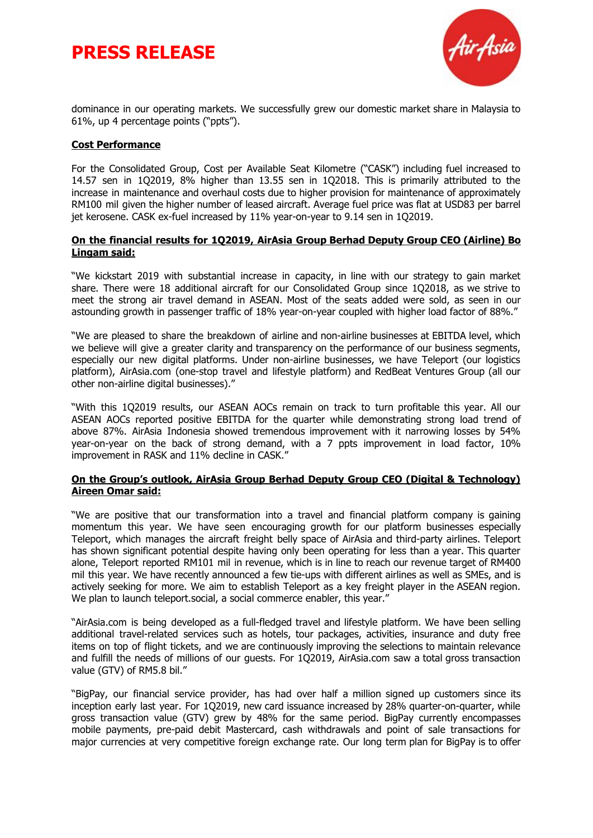



dominance in our operating markets. We successfully grew our domestic market share in Malaysia to 61%, up 4 percentage points ("ppts").

#### **Cost Performance**

For the Consolidated Group, Cost per Available Seat Kilometre ("CASK") including fuel increased to 14.57 sen in 1Q2019, 8% higher than 13.55 sen in 1Q2018. This is primarily attributed to the increase in maintenance and overhaul costs due to higher provision for maintenance of approximately RM100 mil given the higher number of leased aircraft. Average fuel price was flat at USD83 per barrel jet kerosene. CASK ex-fuel increased by 11% year-on-year to 9.14 sen in 1Q2019.

#### **On the financial results for 1Q2019, AirAsia Group Berhad Deputy Group CEO (Airline) Bo Lingam said:**

"We kickstart 2019 with substantial increase in capacity, in line with our strategy to gain market share. There were 18 additional aircraft for our Consolidated Group since 1Q2018, as we strive to meet the strong air travel demand in ASEAN. Most of the seats added were sold, as seen in our astounding growth in passenger traffic of 18% year-on-year coupled with higher load factor of 88%."

"We are pleased to share the breakdown of airline and non-airline businesses at EBITDA level, which we believe will give a greater clarity and transparency on the performance of our business segments, especially our new digital platforms. Under non-airline businesses, we have Teleport (our logistics platform), AirAsia.com (one-stop travel and lifestyle platform) and RedBeat Ventures Group (all our other non-airline digital businesses)."

"With this 1Q2019 results, our ASEAN AOCs remain on track to turn profitable this year. All our ASEAN AOCs reported positive EBITDA for the quarter while demonstrating strong load trend of above 87%. AirAsia Indonesia showed tremendous improvement with it narrowing losses by 54% year-on-year on the back of strong demand, with a 7 ppts improvement in load factor, 10% improvement in RASK and 11% decline in CASK."

# **On the Group's outlook, AirAsia Group Berhad Deputy Group CEO (Digital & Technology) Aireen Omar said:**

"We are positive that our transformation into a travel and financial platform company is gaining momentum this year. We have seen encouraging growth for our platform businesses especially Teleport, which manages the aircraft freight belly space of AirAsia and third-party airlines. Teleport has shown significant potential despite having only been operating for less than a year. This quarter alone, Teleport reported RM101 mil in revenue, which is in line to reach our revenue target of RM400 mil this year. We have recently announced a few tie-ups with different airlines as well as SMEs, and is actively seeking for more. We aim to establish Teleport as a key freight player in the ASEAN region. We plan to launch teleport.social, a social commerce enabler, this year."

"AirAsia.com is being developed as a full-fledged travel and lifestyle platform. We have been selling additional travel-related services such as hotels, tour packages, activities, insurance and duty free items on top of flight tickets, and we are continuously improving the selections to maintain relevance and fulfill the needs of millions of our guests. For 1Q2019, AirAsia.com saw a total gross transaction value (GTV) of RM5.8 bil."

"BigPay, our financial service provider, has had over half a million signed up customers since its inception early last year. For 1Q2019, new card issuance increased by 28% quarter-on-quarter, while gross transaction value (GTV) grew by 48% for the same period. BigPay currently encompasses mobile payments, pre-paid debit Mastercard, cash withdrawals and point of sale transactions for major currencies at very competitive foreign exchange rate. Our long term plan for BigPay is to offer